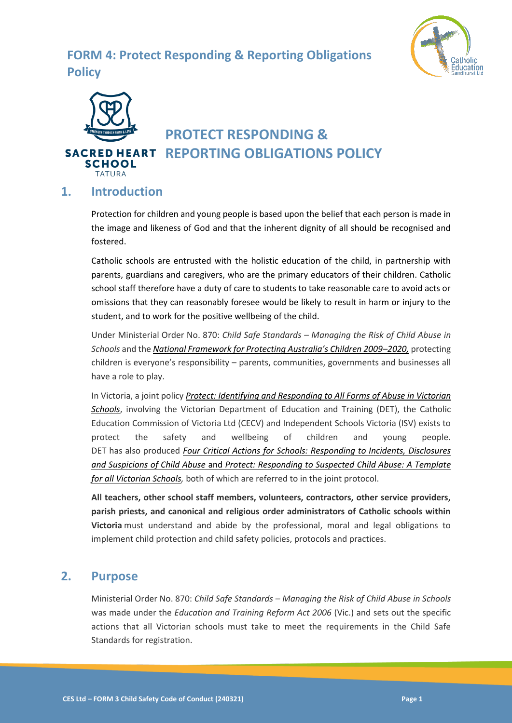## **FORM 4: Protect Responding & Reporting Obligations Policy**





# **PROTECT RESPONDING &**  *SACRED HEART REPORTING OBLIGATIONS POLICY*

### **1. Introduction**

Protection for children and young people is based upon the belief that each person is made in the image and likeness of God and that the inherent dignity of all should be recognised and fostered.

Catholic schools are entrusted with the holistic education of the child, in partnership with parents, guardians and caregivers, who are the primary educators of their children. Catholic school staff therefore have a duty of care to students to take reasonable care to avoid acts or omissions that they can reasonably foresee would be likely to result in harm or injury to the student, and to work for the positive wellbeing of the child.

Under Ministerial Order No. 870: *Child Safe Standards – Managing the Risk of Child Abuse in Schools* and the *[National Framework for Protecting Australia's Children 2009–](https://www.dss.gov.au/our-responsibilities/families-and-children/publications-articles/protecting-children-is-everyones-business)2020,* protecting children is everyone's responsibility – parents, communities, governments and businesses all have a role to play.

In Victoria, a joint policy *[Protect: Identifying and Responding to All Forms of Abuse in Victorian](http://www.education.vic.gov.au/Documents/about/programs/health/protect/ChildSafeStandard5_SchoolsGuide.pdf)  [Schools](http://www.education.vic.gov.au/Documents/about/programs/health/protect/ChildSafeStandard5_SchoolsGuide.pdf)*, involving the Victorian Department of Education and Training (DET), the Catholic Education Commission of Victoria Ltd (CECV) and Independent Schools Victoria (ISV) exists to protect the safety and wellbeing of children and young people. DET has also produced *[Four Critical Actions for Schools: Responding to Incidents, Disclosures](http://www.education.vic.gov.au/Documents/about/programs/health/protect/FourCriticalActions_ChildAbuse.pdf)  and [Suspicions of Child Abuse](http://www.education.vic.gov.au/Documents/about/programs/health/protect/FourCriticalActions_ChildAbuse.pdf)* and *[Protect: Responding to Suspected Child Abuse: A Template](http://www.education.vic.gov.au/Documents/about/programs/health/protect/PROTECT_Responding_TemplateSchools.pdf)  [for all Victorian Schools,](http://www.education.vic.gov.au/Documents/about/programs/health/protect/PROTECT_Responding_TemplateSchools.pdf)* both of which are referred to in the joint protocol.

**All teachers, other school staff members, volunteers, contractors, other service providers, parish priests, and canonical and religious order administrators of Catholic schools within Victoria** must understand and abide by the professional, moral and legal obligations to implement child protection and child safety policies, protocols and practices.

### **2. Purpose**

Ministerial Order No. 870: *Child Safe Standards – Managing the Risk of Child Abuse in Schools*  was made under the *Education and Training Reform Act 2006* (Vic.) and sets out the specific actions that all Victorian schools must take to meet the requirements in the Child Safe Standards for registration.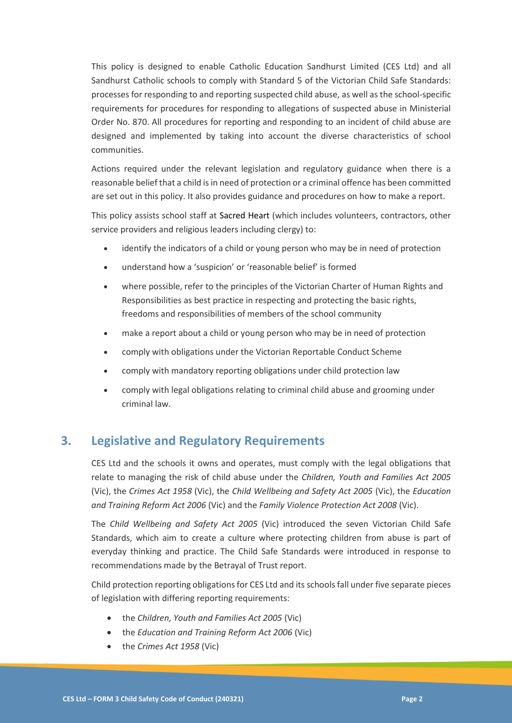This policy is designed to enable Catholic Education Sandhurst Limited (CES Ltd) and all Sandhurst Catholic schools to comply with Standard 5 of the Victorian Child Safe Standards: processes for responding to and reporting suspected child abuse, as well as the school-specific requirements for procedures for responding to allegations of suspected abuse in Ministerial Order No. 870. All procedures for reporting and responding to an incident of child abuse are designed and implemented by taking into account the diverse characteristics of school communities.

Actions required under the relevant legislation and regulatory guidance when there is a reasonable belief that a child is in need of protection or a criminal offence has been committed are set out in this policy. It also provides guidance and procedures on how to make a report.

This policy assists school staff at Sacred Heart (which includes volunteers, contractors, other service providers and religious leaders including clergy) to:

- identify the indicators of a child or young person who may be in need of protection
- understand how a 'suspicion' or 'reasonable belief' is formed
- where possible, refer to the principles of the Victorian Charter of Human Rights and Responsibilities as best practice in respecting and protecting the basic rights, freedoms and responsibilities of members of the school community
- make a report about a child or young person who may be in need of protection
- comply with obligations under the Victorian Reportable Conduct Scheme
- comply with mandatory reporting obligations under child protection law
- comply with legal obligations relating to criminal child abuse and grooming under criminal law.

### **3. Legislative and Regulatory Requirements**

CES Ltd and the schools it owns and operates, must comply with the legal obligations that relate to managing the risk of child abuse under the *Children, Youth and Families Act 2005* (Vic), the *Crimes Act 1958* (Vic), the *Child Wellbeing and Safety Act 2005* (Vic), the *Education and Training Reform Act 2006* (Vic) and the *Family Violence Protection Act 2008* (Vic).

The *Child Wellbeing and Safety Act 2005* (Vic) introduced the seven Victorian Child Safe Standards, which aim to create a culture where protecting children from abuse is part of everyday thinking and practice. The Child Safe Standards were introduced in response to recommendations made by the Betrayal of Trust report.

Child protection reporting obligations for CES Ltd and its schools fall under five separate pieces of legislation with differing reporting requirements:

- the *Children, Youth and Families Act 2005* (Vic)
- the *Education and Training Reform Act 2006* (Vic)
- the *Crimes Act 1958* (Vic)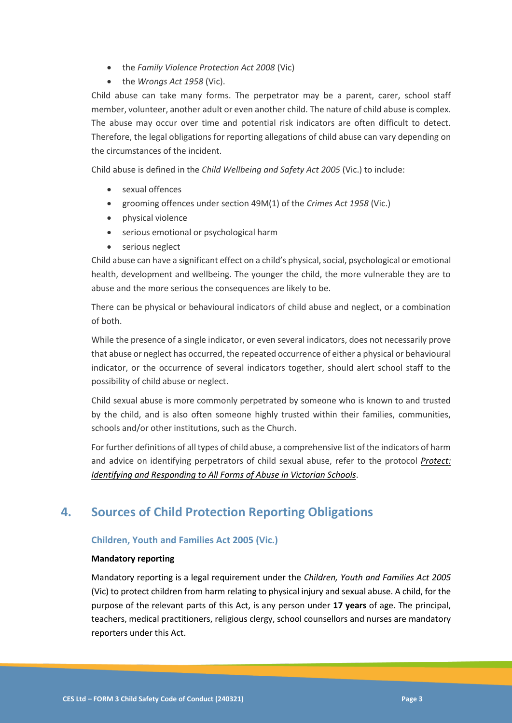- the *Family Violence Protection Act 2008* (Vic)
- the *Wrongs Act 1958* (Vic).

Child abuse can take many forms. The perpetrator may be a parent, carer, school staff member, volunteer, another adult or even another child. The nature of child abuse is complex. The abuse may occur over time and potential risk indicators are often difficult to detect. Therefore, the legal obligations for reporting allegations of child abuse can vary depending on the circumstances of the incident.

Child abuse is defined in the *Child Wellbeing and Safety Act 2005* (Vic.) to include:

- sexual offences
- grooming offences under section 49M(1) of the *Crimes Act 1958* (Vic.)
- physical violence
- serious emotional or psychological harm
- serious neglect

Child abuse can have a significant effect on a child's physical, social, psychological or emotional health, development and wellbeing. The younger the child, the more vulnerable they are to abuse and the more serious the consequences are likely to be.

There can be physical or behavioural indicators of child abuse and neglect, or a combination of both.

While the presence of a single indicator, or even several indicators, does not necessarily prove that abuse or neglect has occurred, the repeated occurrence of either a physical or behavioural indicator, or the occurrence of several indicators together, should alert school staff to the possibility of child abuse or neglect.

Child sexual abuse is more commonly perpetrated by someone who is known to and trusted by the child, and is also often someone highly trusted within their families, communities, schools and/or other institutions, such as the Church.

For further definitions of all types of child abuse, a comprehensive list of the indicators of harm and advice on identifying perpetrators of child sexual abuse, refer to the protocol *[Protect:](https://www.education.vic.gov.au/Documents/about/programs/health/protect/ChildSafeStandard5_SchoolsGuide.pdf)  [Identifying and Responding to All Forms of Abuse in Victorian Schools](https://www.education.vic.gov.au/Documents/about/programs/health/protect/ChildSafeStandard5_SchoolsGuide.pdf)*.

### **4. Sources of Child Protection Reporting Obligations**

#### **Children, Youth and Families Act 2005 (Vic.)**

#### **Mandatory reporting**

Mandatory reporting is a legal requirement under the *Children, Youth and Families Act 2005* (Vic) to protect children from harm relating to physical injury and sexual abuse. A child, for the purpose of the relevant parts of this Act, is any person under **17 years** of age. The principal, teachers, medical practitioners, religious clergy, school counsellors and nurses are mandatory reporters under this Act.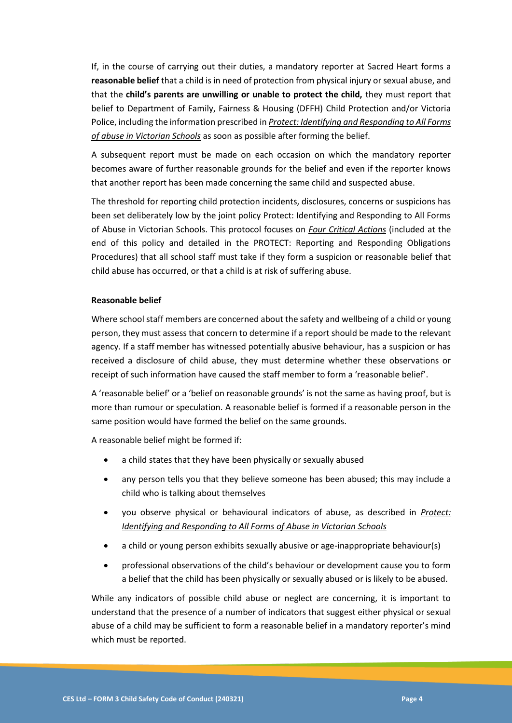If, in the course of carrying out their duties, a mandatory reporter at Sacred Heart forms a **reasonable belief** that a child is in need of protection from physical injury or sexual abuse, and that the **child's parents are unwilling or unable to protect the child,** they must report that belief to Department of Family, Fairness & Housing (DFFH) Child Protection and/or Victoria Police, including the information prescribed in *[Protect: Identifying and Responding to All Forms](https://www.education.vic.gov.au/Documents/about/programs/health/protect/ChildSafeStandard5_SchoolsGuide.pdf)  [of abuse in Victorian Schools](https://www.education.vic.gov.au/Documents/about/programs/health/protect/ChildSafeStandard5_SchoolsGuide.pdf)* as soon as possible after forming the belief.

A subsequent report must be made on each occasion on which the mandatory reporter becomes aware of further reasonable grounds for the belief and even if the reporter knows that another report has been made concerning the same child and suspected abuse.

The threshold for reporting child protection incidents, disclosures, concerns or suspicions has been set deliberately low by the joint policy Protect: Identifying and Responding to All Forms of Abuse in Victorian Schools. This protocol focuses on *[Four Critical Actions](https://www.education.vic.gov.au/Documents/about/programs/health/protect/FourCriticalActions_ChildAbuse.pdf)* (included at the end of this policy and detailed in the PROTECT: Reporting and Responding Obligations Procedures) that all school staff must take if they form a suspicion or reasonable belief that child abuse has occurred, or that a child is at risk of suffering abuse.

#### **Reasonable belief**

Where school staff members are concerned about the safety and wellbeing of a child or young person, they must assess that concern to determine if a report should be made to the relevant agency. If a staff member has witnessed potentially abusive behaviour, has a suspicion or has received a disclosure of child abuse, they must determine whether these observations or receipt of such information have caused the staff member to form a 'reasonable belief'.

A 'reasonable belief' or a 'belief on reasonable grounds' is not the same as having proof, but is more than rumour or speculation. A reasonable belief is formed if a reasonable person in the same position would have formed the belief on the same grounds.

A reasonable belief might be formed if:

- a child states that they have been physically or sexually abused
- any person tells you that they believe someone has been abused; this may include a child who is talking about themselves
- you observe physical or behavioural indicators of abuse, as described in *[Protect:](https://www.education.vic.gov.au/Documents/about/programs/health/protect/ChildSafeStandard5_SchoolsGuide.pdf)  [Identifying and Responding to All Forms of Abuse in Victorian Schools](https://www.education.vic.gov.au/Documents/about/programs/health/protect/ChildSafeStandard5_SchoolsGuide.pdf)*
- a child or young person exhibits sexually abusive or age-inappropriate behaviour(s)
- professional observations of the child's behaviour or development cause you to form a belief that the child has been physically or sexually abused or is likely to be abused.

While any indicators of possible child abuse or neglect are concerning, it is important to understand that the presence of a number of indicators that suggest either physical or sexual abuse of a child may be sufficient to form a reasonable belief in a mandatory reporter's mind which must be reported.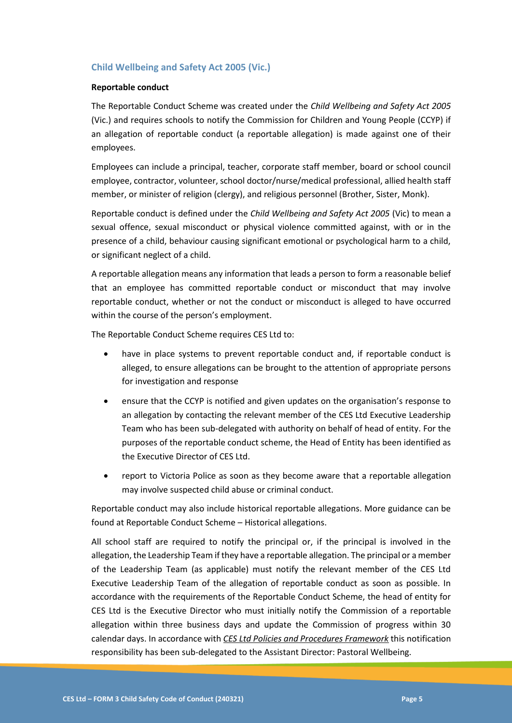#### **Child Wellbeing and Safety Act 2005 (Vic.)**

#### **Reportable conduct**

The Reportable Conduct Scheme was created under the *Child Wellbeing and Safety Act 2005* (Vic.) and requires schools to notify the Commission for Children and Young People (CCYP) if an allegation of reportable conduct (a reportable allegation) is made against one of their employees.

Employees can include a principal, teacher, corporate staff member, board or school council employee, contractor, volunteer, school doctor/nurse/medical professional, allied health staff member, or minister of religion (clergy), and religious personnel (Brother, Sister, Monk).

Reportable conduct is defined under the *Child Wellbeing and Safety Act 2005* (Vic) to mean a sexual offence, sexual misconduct or physical violence committed against, with or in the presence of a child, behaviour causing significant emotional or psychological harm to a child, or significant neglect of a child.

A reportable allegation means any information that leads a person to form a reasonable belief that an employee has committed reportable conduct or misconduct that may involve reportable conduct, whether or not the conduct or misconduct is alleged to have occurred within the course of the person's employment.

The Reportable Conduct Scheme requires CES Ltd to:

- have in place systems to prevent reportable conduct and, if reportable conduct is alleged, to ensure allegations can be brought to the attention of appropriate persons for investigation and response
- ensure that the CCYP is notified and given updates on the organisation's response to an allegation by contacting the relevant member of the CES Ltd Executive Leadership Team who has been sub-delegated with authority on behalf of head of entity. For the purposes of the reportable conduct scheme, the Head of Entity has been identified as the Executive Director of CES Ltd.
- report to Victoria Police as soon as they become aware that a reportable allegation may involve suspected child abuse or criminal conduct.

Reportable conduct may also include historical reportable allegations. More guidance can be found at Reportable Conduct Scheme – Historical allegations.

All school staff are required to notify the principal or, if the principal is involved in the allegation, the Leadership Team if they have a reportable allegation. The principal or a member of the Leadership Team (as applicable) must notify the relevant member of the CES Ltd Executive Leadership Team of the allegation of reportable conduct as soon as possible. In accordance with the requirements of the Reportable Conduct Scheme, the head of entity for CES Ltd is the Executive Director who must initially notify the Commission of a reportable allegation within three business days and update the Commission of progress within 30 calendar days. In accordance with *CES Ltd Policies and Procedures Framework* this notification responsibility has been sub-delegated to the Assistant Director: Pastoral Wellbeing.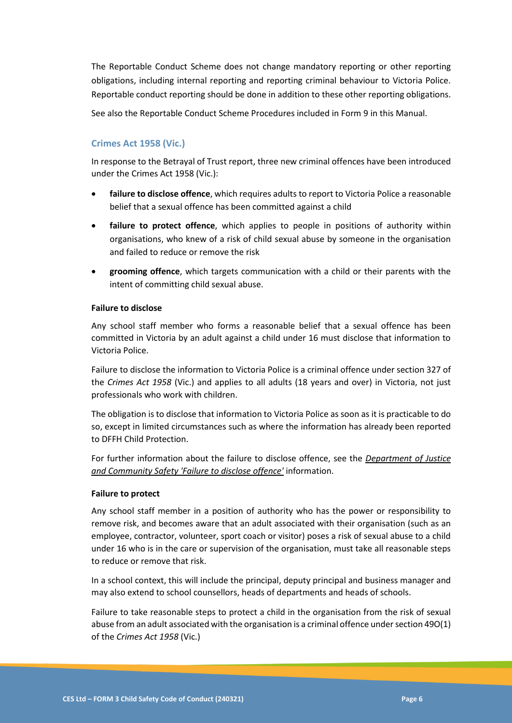The Reportable Conduct Scheme does not change mandatory reporting or other reporting obligations, including internal reporting and reporting criminal behaviour to Victoria Police. Reportable conduct reporting should be done in addition to these other reporting obligations.

See also the Reportable Conduct Scheme Procedures included in Form 9 in this Manual.

#### **Crimes Act 1958 (Vic.)**

In response to the Betrayal of Trust report, three new criminal offences have been introduced under the Crimes Act 1958 (Vic.):

- **failure to disclose offence**, which requires adults to report to Victoria Police a reasonable belief that a sexual offence has been committed against a child
- **failure to protect offence**, which applies to people in positions of authority within organisations, who knew of a risk of child sexual abuse by someone in the organisation and failed to reduce or remove the risk
- **grooming offence**, which targets communication with a child or their parents with the intent of committing child sexual abuse.

#### **Failure to disclose**

Any school staff member who forms a reasonable belief that a sexual offence has been committed in Victoria by an adult against a child under 16 must disclose that information to Victoria Police.

Failure to disclose the information to Victoria Police is a criminal offence under section 327 of the *Crimes Act 1958* (Vic.) and applies to all adults (18 years and over) in Victoria, not just professionals who work with children.

The obligation is to disclose that information to Victoria Police as soon as it is practicable to do so, except in limited circumstances such as where the information has already been reported to DFFH Child Protection.

For further information about the failure to disclose offence, see the *[Department of Justice](https://www.justice.vic.gov.au/safer-communities/protecting-children-and-families/failure-to-disclose-offence)  [and Community Safety 'Failure to disclose offence'](https://www.justice.vic.gov.au/safer-communities/protecting-children-and-families/failure-to-disclose-offence)* information.

#### **Failure to protect**

Any school staff member in a position of authority who has the power or responsibility to remove risk, and becomes aware that an adult associated with their organisation (such as an employee, contractor, volunteer, sport coach or visitor) poses a risk of sexual abuse to a child under 16 who is in the care or supervision of the organisation, must take all reasonable steps to reduce or remove that risk.

In a school context, this will include the principal, deputy principal and business manager and may also extend to school counsellors, heads of departments and heads of schools.

Failure to take reasonable steps to protect a child in the organisation from the risk of sexual abuse from an adult associated with the organisation is a criminal offence under section 49O(1) of the *Crimes Act 1958* (Vic.)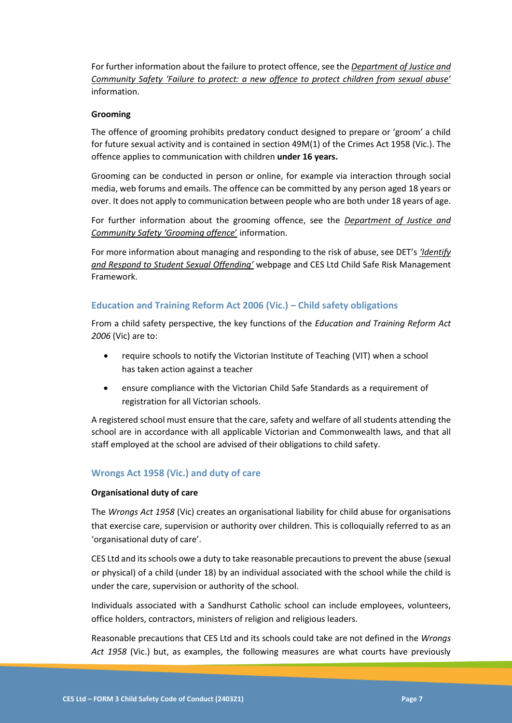For further information about the failure to protect offence, see the *[Department of Justice and](https://www.justice.vic.gov.au/safer-communities/protecting-children-and-families/failure-to-protect-a-new-criminal-offence-to)  Commu[nity Safety 'Failure to protect: a new offence to protect children from sexual abuse'](https://www.justice.vic.gov.au/safer-communities/protecting-children-and-families/failure-to-protect-a-new-criminal-offence-to)* information.

#### **Grooming**

The offence of grooming prohibits predatory conduct designed to prepare or 'groom' a child for future sexual activity and is contained in section 49M(1) of the Crimes Act 1958 (Vic.). The offence applies to communication with children **under 16 years.**

Grooming can be conducted in person or online, for example via interaction through social media, web forums and emails. The offence can be committed by any person aged 18 years or over. It does not apply to communication between people who are both under 18 years of age.

For further information about the grooming offence, see the *[Department of Justice and](https://www.justice.vic.gov.au/safer-communities/protecting-children-and-families/grooming-offence)  [Community Safety 'Grooming offence](https://www.justice.vic.gov.au/safer-communities/protecting-children-and-families/grooming-offence)*' information.

For more information about managing and responding to the risk of abuse, see DET's *['Identify](https://www.education.vic.gov.au/school/teachers/health/childprotection/Pages/stusexual.aspx)  [and Respond to Student Sexual Offending'](https://www.education.vic.gov.au/school/teachers/health/childprotection/Pages/stusexual.aspx)* webpage and CES Ltd Child Safe Risk Management Framework.

#### **Education and Training Reform Act 2006 (Vic.) – Child safety obligations**

From a child safety perspective, the key functions of the *Education and Training Reform Act 2006* (Vic) are to:

- require schools to notify the Victorian Institute of Teaching (VIT) when a school has taken action against a teacher
- ensure compliance with the Victorian Child Safe Standards as a requirement of registration for all Victorian schools.

A registered school must ensure that the care, safety and welfare of all students attending the school are in accordance with all applicable Victorian and Commonwealth laws, and that all staff employed at the school are advised of their obligations to child safety.

#### **Wrongs Act 1958 (Vic.) and duty of care**

#### **Organisational duty of care**

The *Wrongs Act 1958* (Vic) creates an organisational liability for child abuse for organisations that exercise care, supervision or authority over children. This is colloquially referred to as an 'organisational duty of care'.

CES Ltd and its schools owe a duty to take reasonable precautions to prevent the abuse (sexual or physical) of a child (under 18) by an individual associated with the school while the child is under the care, supervision or authority of the school.

Individuals associated with a Sandhurst Catholic school can include employees, volunteers, office holders, contractors, ministers of religion and religious leaders.

Reasonable precautions that CES Ltd and its schools could take are not defined in the *Wrongs Act 1958* (Vic.) but, as examples, the following measures are what courts have previously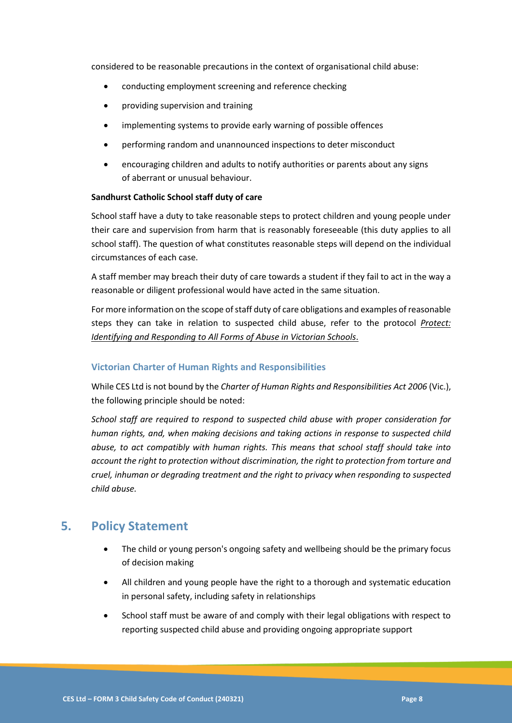considered to be reasonable precautions in the context of organisational child abuse:

- conducting employment screening and reference checking
- providing supervision and training
- implementing systems to provide early warning of possible offences
- performing random and unannounced inspections to deter misconduct
- encouraging children and adults to notify authorities or parents about any signs of aberrant or unusual behaviour.

#### **Sandhurst Catholic School staff duty of care**

School staff have a duty to take reasonable steps to protect children and young people under their care and supervision from harm that is reasonably foreseeable (this duty applies to all school staff). The question of what constitutes reasonable steps will depend on the individual circumstances of each case.

A staff member may breach their duty of care towards a student if they fail to act in the way a reasonable or diligent professional would have acted in the same situation.

For more information on the scope of staff duty of care obligations and examples of reasonable steps they can take in relation to suspected child abuse, refer to the protocol *[Protect:](https://www.education.vic.gov.au/Documents/about/programs/health/protect/ChildSafeStandard5_SchoolsGuide.pdf)  [Identifying and Responding to All Forms of Abuse in Victorian Schools](https://www.education.vic.gov.au/Documents/about/programs/health/protect/ChildSafeStandard5_SchoolsGuide.pdf)*.

#### **Victorian Charter of Human Rights and Responsibilities**

While CES Ltd is not bound by the *Charter of Human Rights and Responsibilities Act 2006* (Vic.), the following principle should be noted:

*School staff are required to respond to suspected child abuse with proper consideration for human rights, and, when making decisions and taking actions in response to suspected child abuse, to act compatibly with human rights. This means that school staff should take into account the right to protection without discrimination, the right to protection from torture and cruel, inhuman or degrading treatment and the right to privacy when responding to suspected child abuse.*

### **5. Policy Statement**

- The child or young person's ongoing safety and wellbeing should be the primary focus of decision making
- All children and young people have the right to a thorough and systematic education in personal safety, including safety in relationships
- School staff must be aware of and comply with their legal obligations with respect to reporting suspected child abuse and providing ongoing appropriate support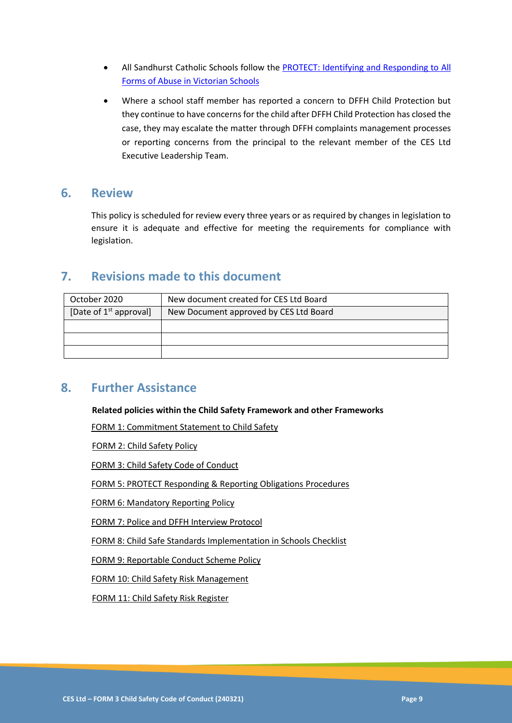- All Sandhurst Catholic Schools follow the [PROTECT: Identifying and Responding to All](https://www.education.vic.gov.au/Documents/about/programs/health/protect/ChildSafeStandard5_SchoolsGuide.pdf)  [Forms of Abuse in Victorian Schools](https://www.education.vic.gov.au/Documents/about/programs/health/protect/ChildSafeStandard5_SchoolsGuide.pdf)
- Where a school staff member has reported a concern to DFFH Child Protection but they continue to have concerns for the child after DFFH Child Protection has closed the case, they may escalate the matter through DFFH complaints management processes or reporting concerns from the principal to the relevant member of the CES Ltd Executive Leadership Team.

### **6. Review**

This policy is scheduled for review every three years or as required by changes in legislation to ensure it is adequate and effective for meeting the requirements for compliance with legislation.

### **7. Revisions made to this document**

| October 2020             | New document created for CES Ltd Board |
|--------------------------|----------------------------------------|
| [Date of $1st$ approval] | New Document approved by CES Ltd Board |
|                          |                                        |
|                          |                                        |
|                          |                                        |

### **8. Further Assistance**

**Related policies within the Child Safety Framework and other Frameworks**

FORM 1: Commitment Statement to Child Safety

FORM 2: Child Safety Policy

FORM 3: Child Safety Code of Conduct

FORM 5: PROTECT Responding & Reporting Obligations Procedures

FORM 6: Mandatory Reporting Policy

FORM 7: Police and DFFH Interview Protocol

FORM 8: Child Safe Standards Implementation in Schools Checklist

FORM 9: Reportable Conduct Scheme Policy

FORM 10: Child Safety Risk Management

FORM 11: Child Safety Risk Register